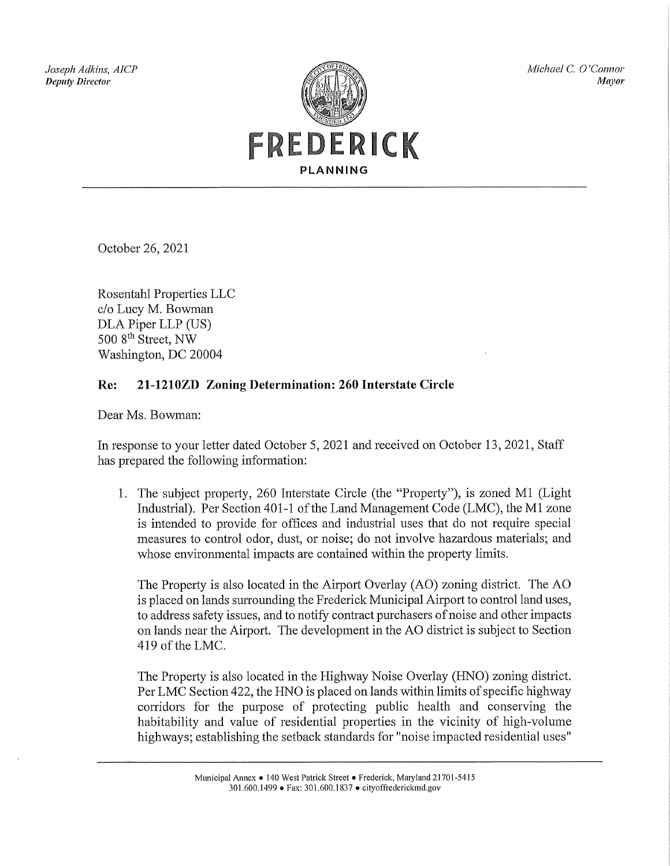Joseph Adkins, AICP **Deputy Director** 



Michael C. O'Connor **Mayor** 

October 26, 2021

Rosentahl Properties LLC c/o Lucy M. Bowman DLA Piper LLP (US) 500 8<sup>th</sup> Street, NW Washington, DC 20004

## 21-1210ZD Zoning Determination: 260 Interstate Circle Re:

Dear Ms. Bowman:

In response to your letter dated October 5, 2021 and received on October 13, 2021, Staff has prepared the following information:

1. The subject property, 260 Interstate Circle (the "Property"), is zoned M1 (Light Industrial). Per Section 401-1 of the Land Management Code (LMC), the M1 zone is intended to provide for offices and industrial uses that do not require special measures to control odor, dust, or noise; do not involve hazardous materials; and whose environmental impacts are contained within the property limits.

The Property is also located in the Airport Overlay (AO) zoning district. The AO is placed on lands surrounding the Frederick Municipal Airport to control land uses, to address safety issues, and to notify contract purchasers of noise and other impacts on lands near the Airport. The development in the AO district is subject to Section 419 of the LMC.

The Property is also located in the Highway Noise Overlay (HNO) zoning district. Per LMC Section 422, the HNO is placed on lands within limits of specific highway corridors for the purpose of protecting public health and conserving the habitability and value of residential properties in the vicinity of high-volume highways; establishing the setback standards for "noise impacted residential uses"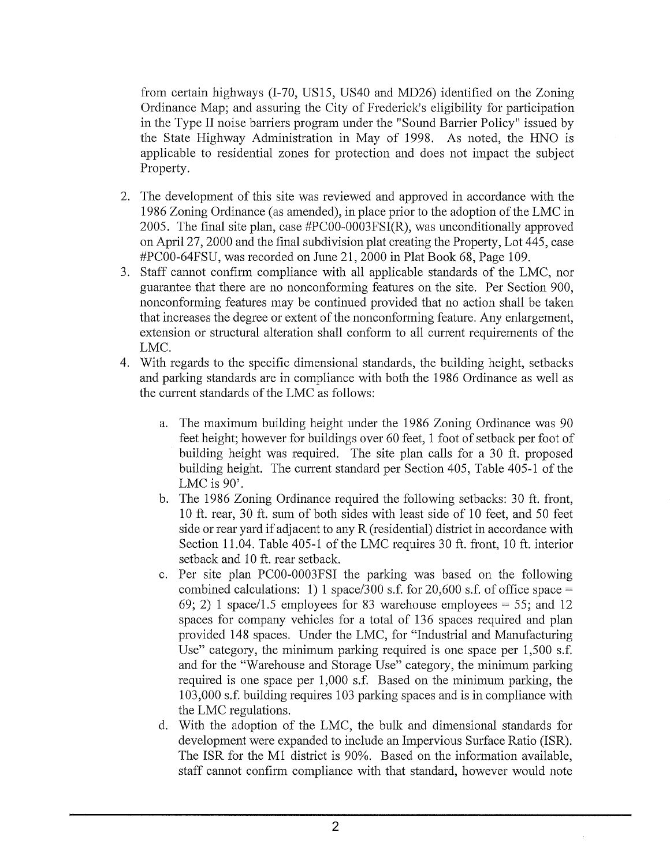from certain highways (I-70, US15, US40 and MD26) identified on the Zoning Ordinance Map; and assuring the City of Frederick's eligibility for participation in the Type II noise barriers program under the "Sound Barrier Policy" issued by the State Highway Administration in May of 1998. As noted, the HNO is applicable to residential zones for protection and does not impact the subject Property.

- 2. The development of this site was reviewed and approved in accordance with the 1986 Zoning Ordinance (as amended), in place prior to the adoption of the LMC in 2005. The final site plan, case  $\text{#PC00-0003FSI(R)}$ , was unconditionally approved on April 27, 2000 and the final subdivision plat creating the Property, Lot 445, case #PC00-64FSU, was recorded on June 21, 2000 in Plat Book 68, Page 109.
- 3. Staff cannot confirm compliance with all applicable standards of the LMC, nor guarantee that there are no nonconforming features on the site. Per Section 900, nonconforming features may be continued provided that no action shall be taken that increases the degree or extent of the nonconforming feature. Any enlargement, extension or structural alteration shall conform to all current requirements of the LMC.
- 4. With regards to the specific dimensional standards, the building height, setbacks and parking standards are in compliance with both the 1986 Ordinance as well as the current standards of the LMC as follows:
	- The maximum building height under the 1986 Zoning Ordinance was 90 a. feet height; however for buildings over 60 feet, 1 foot of setback per foot of building height was required. The site plan calls for a 30 ft, proposed building height. The current standard per Section 405, Table 405-1 of the LMC is  $90^\circ$ .
	- The 1986 Zoning Ordinance required the following setbacks: 30 ft. front,  $\mathbf{b}$ . 10 ft. rear, 30 ft. sum of both sides with least side of 10 feet, and 50 feet side or rear yard if adjacent to any R (residential) district in accordance with Section 11.04. Table 405-1 of the LMC requires 30 ft. front, 10 ft. interior setback and 10 ft. rear setback.
	- Per site plan PC00-0003FSI the parking was based on the following  $\mathbf{c}$ . combined calculations: 1) 1 space/300 s.f. for 20,600 s.f. of office space = 69; 2) 1 space/1.5 employees for 83 warehouse employees = 55; and 12 spaces for company vehicles for a total of 136 spaces required and plan provided 148 spaces. Under the LMC, for "Industrial and Manufacturing Use" category, the minimum parking required is one space per 1,500 s.f. and for the "Warehouse and Storage Use" category, the minimum parking required is one space per 1,000 s.f. Based on the minimum parking, the 103,000 s.f. building requires 103 parking spaces and is in compliance with the LMC regulations.
	- With the adoption of the LMC, the bulk and dimensional standards for  $d_{\cdot}$ development were expanded to include an Impervious Surface Ratio (ISR). The ISR for the M1 district is 90%. Based on the information available, staff cannot confirm compliance with that standard, however would note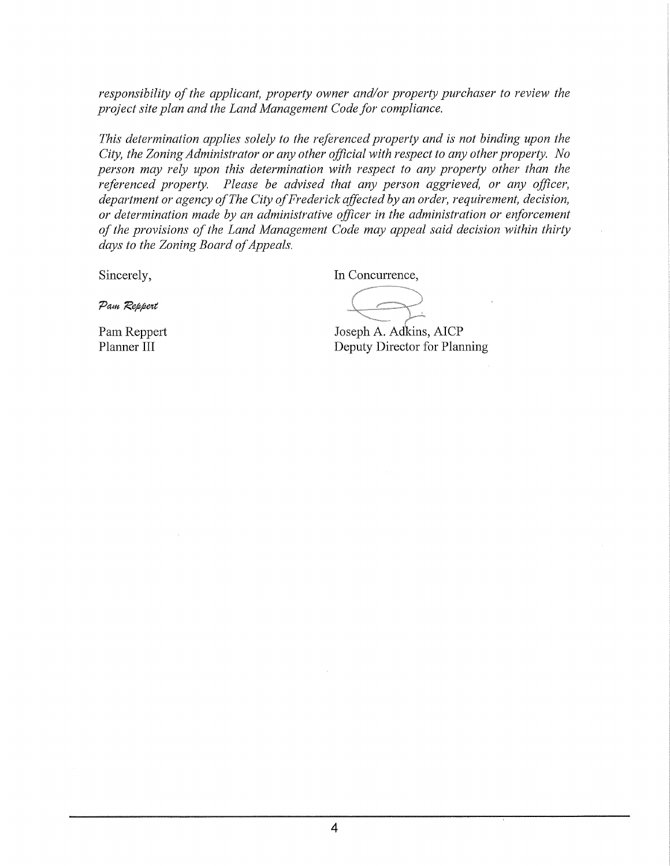responsibility of the applicant, property owner and/or property purchaser to review the project site plan and the Land Management Code for compliance.

This determination applies solely to the referenced property and is not binding upon the City, the Zoning Administrator or any other official with respect to any other property. No person may rely upon this determination with respect to any property other than the referenced property. Please be advised that any person aggrieved, or any officer, department or agency of The City of Frederick affected by an order, requirement, decision, or determination made by an administrative officer in the administration or enforcement of the provisions of the Land Management Code may appeal said decision within thirty days to the Zoning Board of Appeals.

Sincerely,

In Concurrence,

Pam Reppert

Pam Reppert Planner III

Joseph A. Adkins, AICP Deputy Director for Planning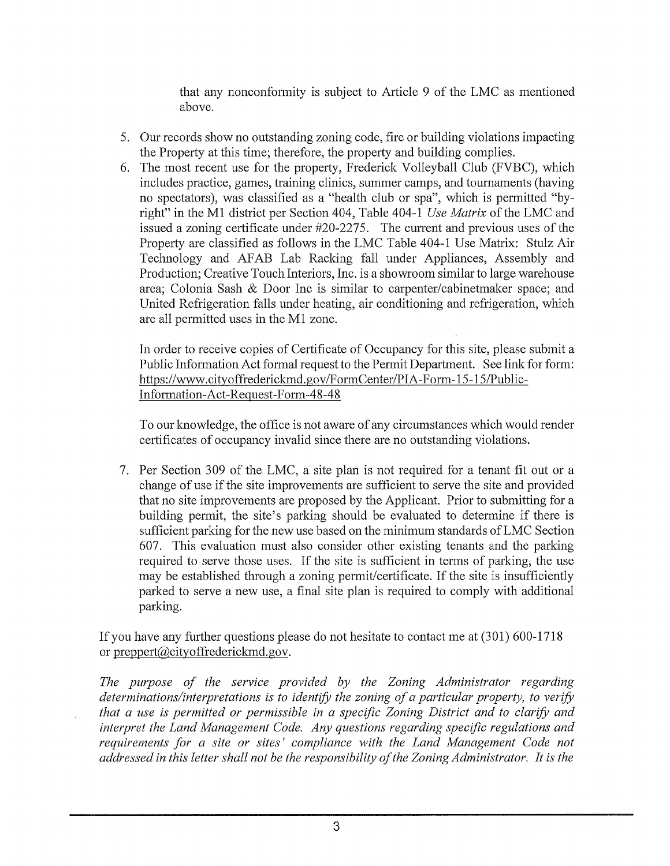that any nonconformity is subject to Article 9 of the LMC as mentioned above.

- 5. Our records show no outstanding zoning code, fire or building violations impacting the Property at this time; therefore, the property and building complies.
- 6. The most recent use for the property, Frederick Volleyball Club (FVBC), which includes practice, games, training clinics, summer camps, and tournaments (having no spectators), was classified as a "health club or spa", which is permitted "byright" in the M1 district per Section 404, Table 404-1 Use Matrix of the LMC and issued a zoning certificate under  $\#20-2275$ . The current and previous uses of the Property are classified as follows in the LMC Table 404-1 Use Matrix: Stulz Air Technology and AFAB Lab Racking fall under Appliances, Assembly and Production; Creative Touch Interiors, Inc. is a showroom similar to large warehouse area: Colonia Sash & Door Inc is similar to carpenter/cabinetmaker space; and United Refrigeration falls under heating, air conditioning and refrigeration, which are all permitted uses in the M1 zone.

In order to receive copies of Certificate of Occupancy for this site, please submit a Public Information Act formal request to the Permit Department. See link for form: https://www.cityoffrederickmd.gov/FormCenter/PIA-Form-15-15/Public-Information-Act-Request-Form-48-48

To our knowledge, the office is not aware of any circumstances which would render certificates of occupancy invalid since there are no outstanding violations.

7. Per Section 309 of the LMC, a site plan is not required for a tenant fit out or a change of use if the site improvements are sufficient to serve the site and provided that no site improvements are proposed by the Applicant. Prior to submitting for a building permit, the site's parking should be evaluated to determine if there is sufficient parking for the new use based on the minimum standards of LMC Section 607. This evaluation must also consider other existing tenants and the parking required to serve those uses. If the site is sufficient in terms of parking, the use may be established through a zoning permit/certificate. If the site is insufficiently parked to serve a new use, a final site plan is required to comply with additional parking.

If you have any further questions please do not hesitate to contact me at (301) 600-1718 or preppert@cityoffrederickmd.gov.

The purpose of the service provided by the Zoning Administrator regarding determinations/interpretations is to identify the zoning of a particular property, to verify that a use is permitted or permissible in a specific Zoning District and to clarify and interpret the Land Management Code. Any questions regarding specific regulations and requirements for a site or sites' compliance with the Land Management Code not addressed in this letter shall not be the responsibility of the Zoning Administrator. It is the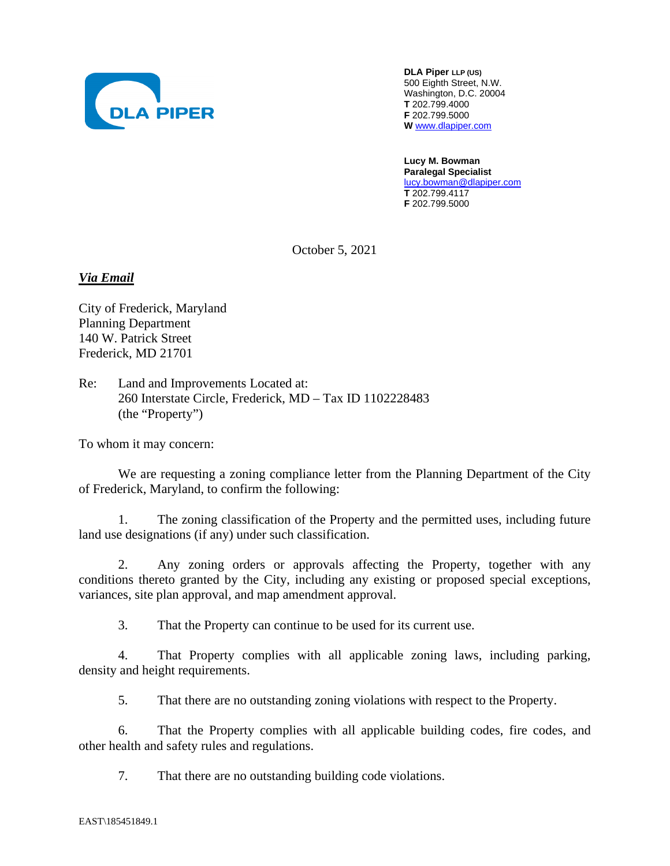

**DLA Piper LLP (US)** 500 Eighth Street, N.W. Washington, D.C. 20004 **T** 202.799.4000 **F** 202.799.5000 **W** www.dlapiper.com

**Lucy M. Bowman Paralegal Specialist**  lucy.bowman@dlapiper.com **T** 202.799.4117 **F** 202.799.5000

October 5, 2021

*Via Email* 

City of Frederick, Maryland Planning Department 140 W. Patrick Street Frederick, MD 21701

Re: Land and Improvements Located at: 260 Interstate Circle, Frederick, MD – Tax ID 1102228483 (the "Property")

To whom it may concern:

We are requesting a zoning compliance letter from the Planning Department of the City of Frederick, Maryland, to confirm the following:

1. The zoning classification of the Property and the permitted uses, including future land use designations (if any) under such classification.

2. Any zoning orders or approvals affecting the Property, together with any conditions thereto granted by the City, including any existing or proposed special exceptions, variances, site plan approval, and map amendment approval.

3. That the Property can continue to be used for its current use.

4. That Property complies with all applicable zoning laws, including parking, density and height requirements.

5. That there are no outstanding zoning violations with respect to the Property.

6. That the Property complies with all applicable building codes, fire codes, and other health and safety rules and regulations.

7. That there are no outstanding building code violations.